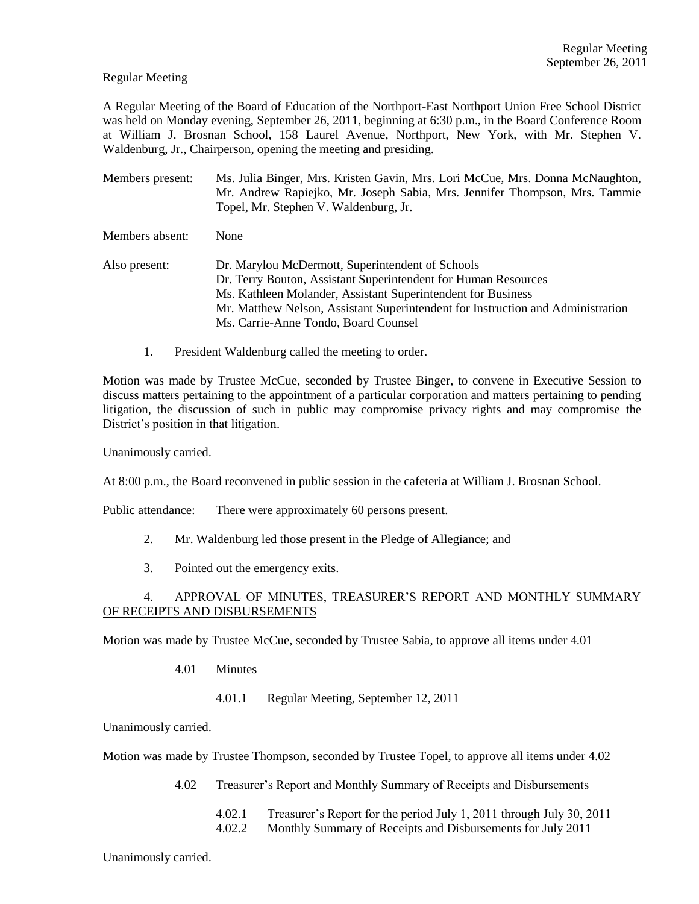### Regular Meeting

A Regular Meeting of the Board of Education of the Northport-East Northport Union Free School District was held on Monday evening, September 26, 2011, beginning at 6:30 p.m., in the Board Conference Room at William J. Brosnan School, 158 Laurel Avenue, Northport, New York, with Mr. Stephen V. Waldenburg, Jr., Chairperson, opening the meeting and presiding.

- Members present: Ms. Julia Binger, Mrs. Kristen Gavin, Mrs. Lori McCue, Mrs. Donna McNaughton, Mr. Andrew Rapiejko, Mr. Joseph Sabia, Mrs. Jennifer Thompson, Mrs. Tammie Topel, Mr. Stephen V. Waldenburg, Jr.
- Members absent: None
- Also present: Dr. Marylou McDermott, Superintendent of Schools Dr. Terry Bouton, Assistant Superintendent for Human Resources Ms. Kathleen Molander, Assistant Superintendent for Business Mr. Matthew Nelson, Assistant Superintendent for Instruction and Administration Ms. Carrie-Anne Tondo, Board Counsel
	- 1. President Waldenburg called the meeting to order.

Motion was made by Trustee McCue, seconded by Trustee Binger, to convene in Executive Session to discuss matters pertaining to the appointment of a particular corporation and matters pertaining to pending litigation, the discussion of such in public may compromise privacy rights and may compromise the District's position in that litigation.

Unanimously carried.

At 8:00 p.m., the Board reconvened in public session in the cafeteria at William J. Brosnan School.

Public attendance: There were approximately 60 persons present.

- 2. Mr. Waldenburg led those present in the Pledge of Allegiance; and
- 3. Pointed out the emergency exits.

# 4. APPROVAL OF MINUTES, TREASURER'S REPORT AND MONTHLY SUMMARY OF RECEIPTS AND DISBURSEMENTS

Motion was made by Trustee McCue, seconded by Trustee Sabia, to approve all items under 4.01

- 4.01 Minutes
	- 4.01.1 Regular Meeting, September 12, 2011

Unanimously carried.

Motion was made by Trustee Thompson, seconded by Trustee Topel, to approve all items under 4.02

- 4.02 Treasurer's Report and Monthly Summary of Receipts and Disbursements
	- 4.02.1 Treasurer's Report for the period July 1, 2011 through July 30, 2011
	- 4.02.2 Monthly Summary of Receipts and Disbursements for July 2011

Unanimously carried.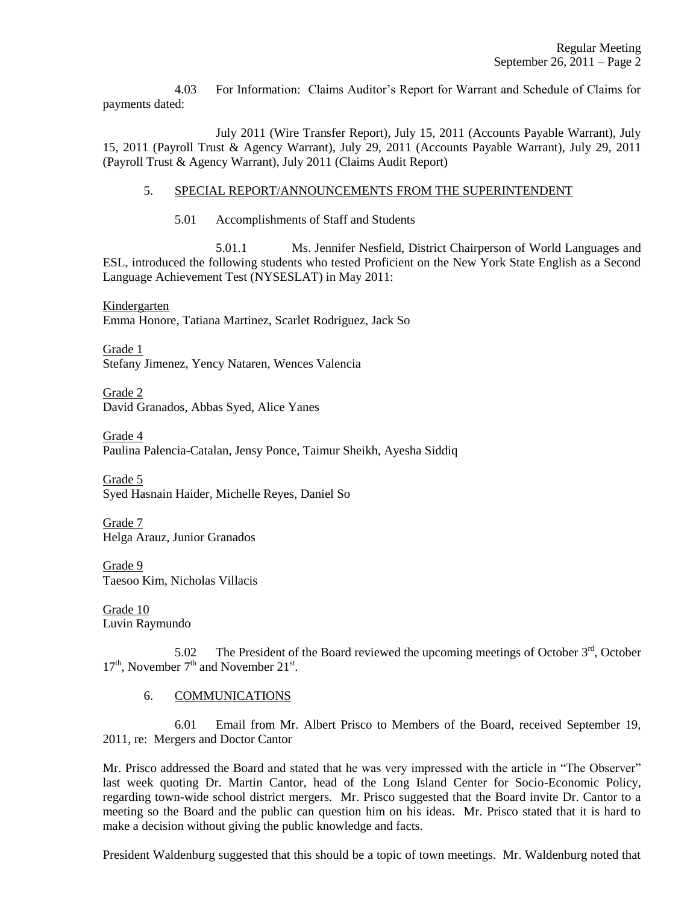4.03 For Information: Claims Auditor's Report for Warrant and Schedule of Claims for payments dated:

July 2011 (Wire Transfer Report), July 15, 2011 (Accounts Payable Warrant), July 15, 2011 (Payroll Trust & Agency Warrant), July 29, 2011 (Accounts Payable Warrant), July 29, 2011 (Payroll Trust & Agency Warrant), July 2011 (Claims Audit Report)

### 5. SPECIAL REPORT/ANNOUNCEMENTS FROM THE SUPERINTENDENT

5.01 Accomplishments of Staff and Students

5.01.1 Ms. Jennifer Nesfield, District Chairperson of World Languages and ESL, introduced the following students who tested Proficient on the New York State English as a Second Language Achievement Test (NYSESLAT) in May 2011:

Kindergarten Emma Honore, Tatiana Martinez, Scarlet Rodriguez, Jack So

Grade 1 Stefany Jimenez, Yency Nataren, Wences Valencia

Grade 2 David Granados, Abbas Syed, Alice Yanes

Grade 4 Paulina Palencia-Catalan, Jensy Ponce, Taimur Sheikh, Ayesha Siddiq

Grade 5 Syed Hasnain Haider, Michelle Reyes, Daniel So

Grade 7 Helga Arauz, Junior Granados

Grade 9 Taesoo Kim, Nicholas Villacis

Grade 10 Luvin Raymundo

5.02 The President of the Board reviewed the upcoming meetings of October  $3<sup>rd</sup>$ , October  $17<sup>th</sup>$ , November  $7<sup>th</sup>$  and November  $21<sup>st</sup>$ .

# 6. COMMUNICATIONS

6.01 Email from Mr. Albert Prisco to Members of the Board, received September 19, 2011, re: Mergers and Doctor Cantor

Mr. Prisco addressed the Board and stated that he was very impressed with the article in "The Observer" last week quoting Dr. Martin Cantor, head of the Long Island Center for Socio-Economic Policy, regarding town-wide school district mergers. Mr. Prisco suggested that the Board invite Dr. Cantor to a meeting so the Board and the public can question him on his ideas. Mr. Prisco stated that it is hard to make a decision without giving the public knowledge and facts.

President Waldenburg suggested that this should be a topic of town meetings. Mr. Waldenburg noted that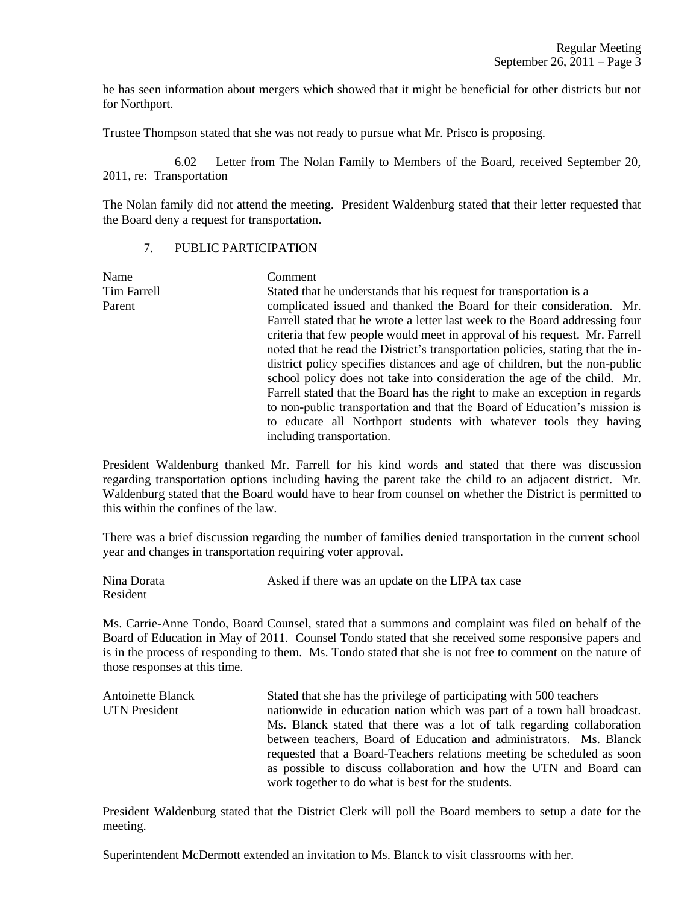he has seen information about mergers which showed that it might be beneficial for other districts but not for Northport.

Trustee Thompson stated that she was not ready to pursue what Mr. Prisco is proposing.

6.02 Letter from The Nolan Family to Members of the Board, received September 20, 2011, re: Transportation

The Nolan family did not attend the meeting. President Waldenburg stated that their letter requested that the Board deny a request for transportation.

### 7. PUBLIC PARTICIPATION

Name Comment Tim Farrell Stated that he understands that his request for transportation is a Parent complicated issued and thanked the Board for their consideration. Mr. Farrell stated that he wrote a letter last week to the Board addressing four criteria that few people would meet in approval of his request. Mr. Farrell noted that he read the District's transportation policies, stating that the indistrict policy specifies distances and age of children, but the non-public school policy does not take into consideration the age of the child. Mr. Farrell stated that the Board has the right to make an exception in regards to non-public transportation and that the Board of Education's mission is to educate all Northport students with whatever tools they having including transportation.

President Waldenburg thanked Mr. Farrell for his kind words and stated that there was discussion regarding transportation options including having the parent take the child to an adjacent district. Mr. Waldenburg stated that the Board would have to hear from counsel on whether the District is permitted to this within the confines of the law.

There was a brief discussion regarding the number of families denied transportation in the current school year and changes in transportation requiring voter approval.

| Nina Dorata | Asked if there was an update on the LIPA tax case |
|-------------|---------------------------------------------------|
| Resident    |                                                   |

Ms. Carrie-Anne Tondo, Board Counsel, stated that a summons and complaint was filed on behalf of the Board of Education in May of 2011. Counsel Tondo stated that she received some responsive papers and is in the process of responding to them. Ms. Tondo stated that she is not free to comment on the nature of those responses at this time.

| <b>Antoinette Blanck</b> | Stated that she has the privilege of participating with 500 teachers    |
|--------------------------|-------------------------------------------------------------------------|
| <b>UTN</b> President     | nationwide in education nation which was part of a town hall broadcast. |
|                          | Ms. Blanck stated that there was a lot of talk regarding collaboration  |
|                          | between teachers, Board of Education and administrators. Ms. Blanck     |
|                          | requested that a Board-Teachers relations meeting be scheduled as soon  |
|                          | as possible to discuss collaboration and how the UTN and Board can      |
|                          | work together to do what is best for the students.                      |

President Waldenburg stated that the District Clerk will poll the Board members to setup a date for the meeting.

Superintendent McDermott extended an invitation to Ms. Blanck to visit classrooms with her.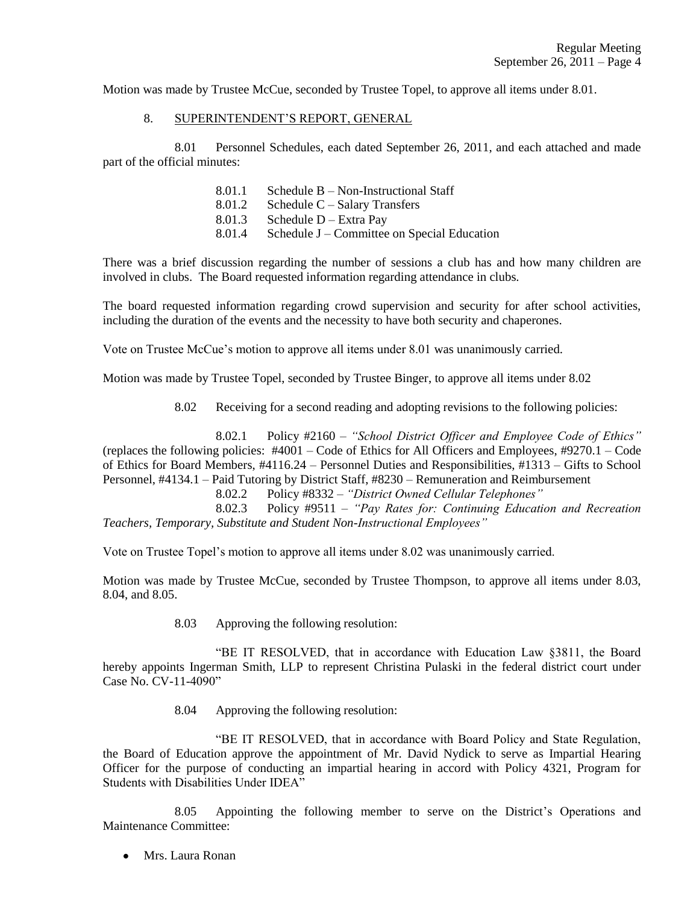Motion was made by Trustee McCue, seconded by Trustee Topel, to approve all items under 8.01.

### 8. SUPERINTENDENT'S REPORT, GENERAL

8.01 Personnel Schedules, each dated September 26, 2011, and each attached and made part of the official minutes:

- 8.01.1 Schedule B Non-Instructional Staff
- 8.01.2 Schedule C Salary Transfers
- 8.01.3 Schedule D Extra Pay
- 8.01.4 Schedule J Committee on Special Education

There was a brief discussion regarding the number of sessions a club has and how many children are involved in clubs. The Board requested information regarding attendance in clubs.

The board requested information regarding crowd supervision and security for after school activities, including the duration of the events and the necessity to have both security and chaperones.

Vote on Trustee McCue's motion to approve all items under 8.01 was unanimously carried.

Motion was made by Trustee Topel, seconded by Trustee Binger, to approve all items under 8.02

8.02 Receiving for a second reading and adopting revisions to the following policies:

8.02.1 Policy #2160 – *"School District Officer and Employee Code of Ethics"* (replaces the following policies: #4001 – Code of Ethics for All Officers and Employees, #9270.1 – Code of Ethics for Board Members, #4116.24 – Personnel Duties and Responsibilities, #1313 – Gifts to School Personnel, #4134.1 – Paid Tutoring by District Staff, #8230 – Remuneration and Reimbursement

8.02.2 Policy #8332 – *"District Owned Cellular Telephones"*

8.02.3 Policy #9511 – *"Pay Rates for: Continuing Education and Recreation Teachers, Temporary, Substitute and Student Non-Instructional Employees"*

Vote on Trustee Topel's motion to approve all items under 8.02 was unanimously carried.

Motion was made by Trustee McCue, seconded by Trustee Thompson, to approve all items under 8.03, 8.04, and 8.05.

8.03 Approving the following resolution:

"BE IT RESOLVED, that in accordance with Education Law §3811, the Board hereby appoints Ingerman Smith, LLP to represent Christina Pulaski in the federal district court under Case No. CV-11-4090"

8.04 Approving the following resolution:

"BE IT RESOLVED, that in accordance with Board Policy and State Regulation, the Board of Education approve the appointment of Mr. David Nydick to serve as Impartial Hearing Officer for the purpose of conducting an impartial hearing in accord with Policy 4321, Program for Students with Disabilities Under IDEA"

8.05 Appointing the following member to serve on the District's Operations and Maintenance Committee:

Mrs. Laura Ronan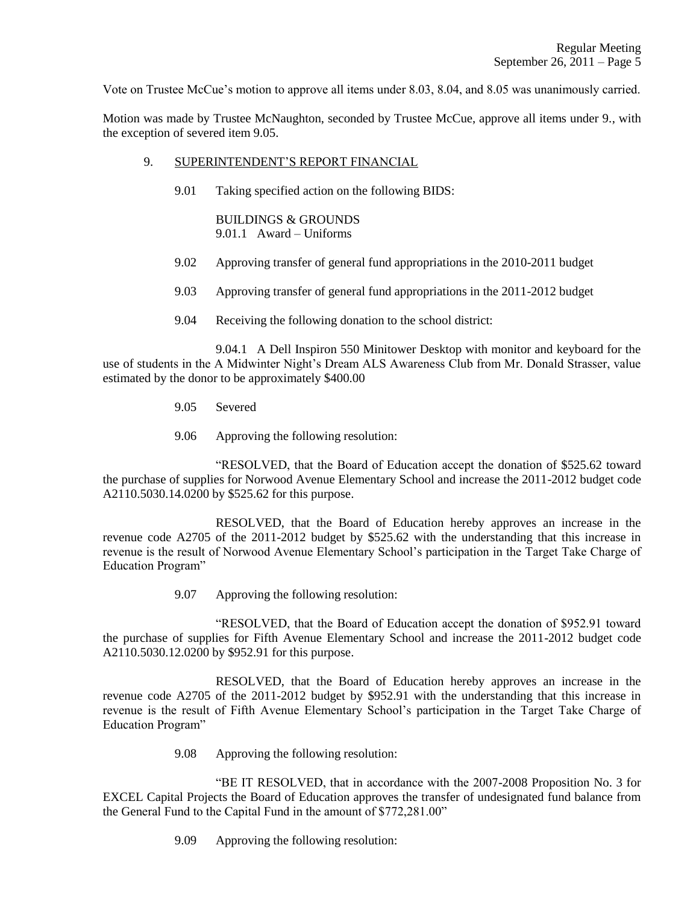Vote on Trustee McCue's motion to approve all items under 8.03, 8.04, and 8.05 was unanimously carried.

Motion was made by Trustee McNaughton, seconded by Trustee McCue, approve all items under 9., with the exception of severed item 9.05.

### 9. SUPERINTENDENT'S REPORT FINANCIAL

9.01 Taking specified action on the following BIDS:

BUILDINGS & GROUNDS 9.01.1 Award – Uniforms

- 9.02 Approving transfer of general fund appropriations in the 2010-2011 budget
- 9.03 Approving transfer of general fund appropriations in the 2011-2012 budget
- 9.04 Receiving the following donation to the school district:

9.04.1 A Dell Inspiron 550 Minitower Desktop with monitor and keyboard for the use of students in the A Midwinter Night's Dream ALS Awareness Club from Mr. Donald Strasser, value estimated by the donor to be approximately \$400.00

- 9.05 Severed
- 9.06 Approving the following resolution:

"RESOLVED, that the Board of Education accept the donation of \$525.62 toward the purchase of supplies for Norwood Avenue Elementary School and increase the 2011-2012 budget code A2110.5030.14.0200 by \$525.62 for this purpose.

RESOLVED, that the Board of Education hereby approves an increase in the revenue code A2705 of the 2011-2012 budget by \$525.62 with the understanding that this increase in revenue is the result of Norwood Avenue Elementary School's participation in the Target Take Charge of Education Program"

9.07 Approving the following resolution:

"RESOLVED, that the Board of Education accept the donation of \$952.91 toward the purchase of supplies for Fifth Avenue Elementary School and increase the 2011-2012 budget code A2110.5030.12.0200 by \$952.91 for this purpose.

RESOLVED, that the Board of Education hereby approves an increase in the revenue code A2705 of the 2011-2012 budget by \$952.91 with the understanding that this increase in revenue is the result of Fifth Avenue Elementary School's participation in the Target Take Charge of Education Program"

9.08 Approving the following resolution:

"BE IT RESOLVED, that in accordance with the 2007-2008 Proposition No. 3 for EXCEL Capital Projects the Board of Education approves the transfer of undesignated fund balance from the General Fund to the Capital Fund in the amount of \$772,281.00"

9.09 Approving the following resolution: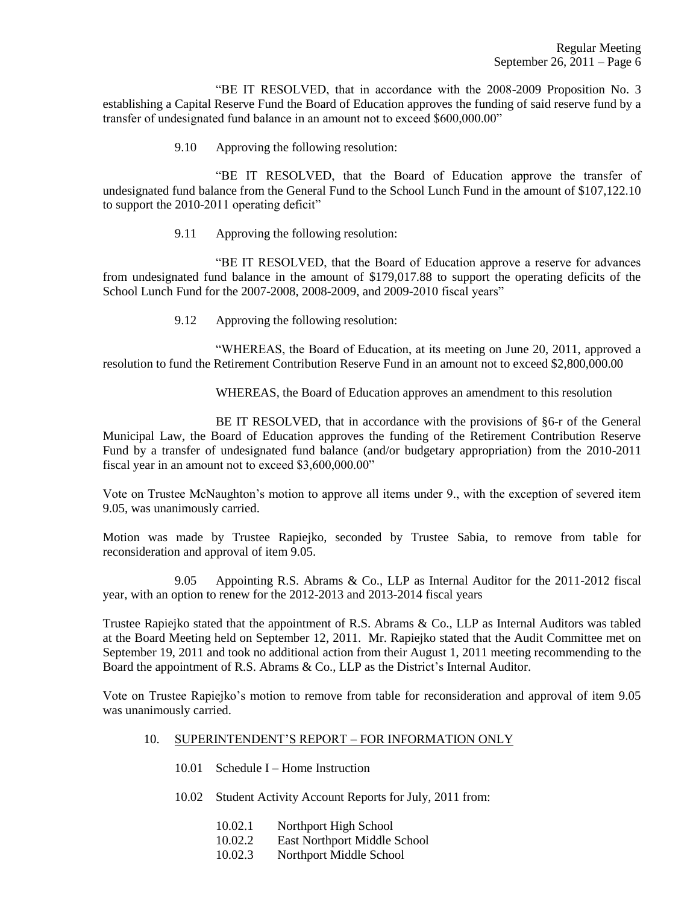"BE IT RESOLVED, that in accordance with the 2008-2009 Proposition No. 3 establishing a Capital Reserve Fund the Board of Education approves the funding of said reserve fund by a transfer of undesignated fund balance in an amount not to exceed \$600,000.00"

9.10 Approving the following resolution:

"BE IT RESOLVED, that the Board of Education approve the transfer of undesignated fund balance from the General Fund to the School Lunch Fund in the amount of \$107,122.10 to support the 2010-2011 operating deficit"

9.11 Approving the following resolution:

"BE IT RESOLVED, that the Board of Education approve a reserve for advances from undesignated fund balance in the amount of \$179,017.88 to support the operating deficits of the School Lunch Fund for the 2007-2008, 2008-2009, and 2009-2010 fiscal years"

9.12 Approving the following resolution:

"WHEREAS, the Board of Education, at its meeting on June 20, 2011, approved a resolution to fund the Retirement Contribution Reserve Fund in an amount not to exceed \$2,800,000.00

WHEREAS, the Board of Education approves an amendment to this resolution

BE IT RESOLVED, that in accordance with the provisions of §6-r of the General Municipal Law, the Board of Education approves the funding of the Retirement Contribution Reserve Fund by a transfer of undesignated fund balance (and/or budgetary appropriation) from the 2010-2011 fiscal year in an amount not to exceed \$3,600,000.00"

Vote on Trustee McNaughton's motion to approve all items under 9., with the exception of severed item 9.05, was unanimously carried.

Motion was made by Trustee Rapiejko, seconded by Trustee Sabia, to remove from table for reconsideration and approval of item 9.05.

9.05 Appointing R.S. Abrams & Co., LLP as Internal Auditor for the 2011-2012 fiscal year, with an option to renew for the 2012-2013 and 2013-2014 fiscal years

Trustee Rapiejko stated that the appointment of R.S. Abrams & Co., LLP as Internal Auditors was tabled at the Board Meeting held on September 12, 2011. Mr. Rapiejko stated that the Audit Committee met on September 19, 2011 and took no additional action from their August 1, 2011 meeting recommending to the Board the appointment of R.S. Abrams & Co., LLP as the District's Internal Auditor.

Vote on Trustee Rapiejko's motion to remove from table for reconsideration and approval of item 9.05 was unanimously carried.

- 10. SUPERINTENDENT'S REPORT FOR INFORMATION ONLY
	- 10.01 Schedule I Home Instruction
	- 10.02 Student Activity Account Reports for July, 2011 from:
		- 10.02.1 Northport High School
		- 10.02.2 East Northport Middle School
		- 10.02.3 Northport Middle School